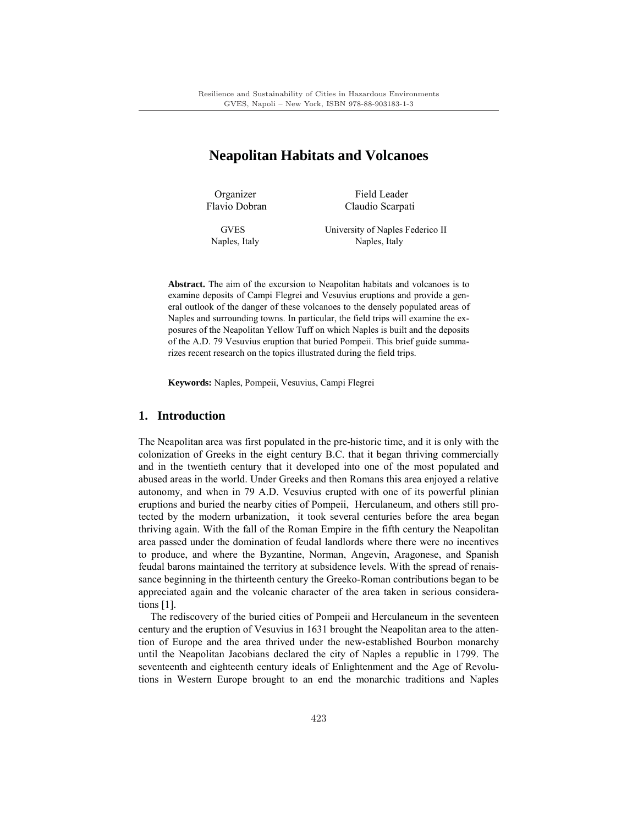# **Neapolitan Habitats and Volcanoes**

Organizer Field Leader Flavio Dobran Claudio Scarpati

 GVES University of Naples Federico II Naples, Italy Naples, Italy

**Abstract.** The aim of the excursion to Neapolitan habitats and volcanoes is to examine deposits of Campi Flegrei and Vesuvius eruptions and provide a general outlook of the danger of these volcanoes to the densely populated areas of Naples and surrounding towns. In particular, the field trips will examine the exposures of the Neapolitan Yellow Tuff on which Naples is built and the deposits of the A.D. 79 Vesuvius eruption that buried Pompeii. This brief guide summarizes recent research on the topics illustrated during the field trips.

**Keywords:** Naples, Pompeii, Vesuvius, Campi Flegrei

# **1. Introduction**

The Neapolitan area was first populated in the pre-historic time, and it is only with the colonization of Greeks in the eight century B.C. that it began thriving commercially and in the twentieth century that it developed into one of the most populated and abused areas in the world. Under Greeks and then Romans this area enjoyed a relative autonomy, and when in 79 A.D. Vesuvius erupted with one of its powerful plinian eruptions and buried the nearby cities of Pompeii, Herculaneum, and others still protected by the modern urbanization, it took several centuries before the area began thriving again. With the fall of the Roman Empire in the fifth century the Neapolitan area passed under the domination of feudal landlords where there were no incentives to produce, and where the Byzantine, Norman, Angevin, Aragonese, and Spanish feudal barons maintained the territory at subsidence levels. With the spread of renaissance beginning in the thirteenth century the Greeko-Roman contributions began to be appreciated again and the volcanic character of the area taken in serious considerations [1].

The rediscovery of the buried cities of Pompeii and Herculaneum in the seventeen century and the eruption of Vesuvius in 1631 brought the Neapolitan area to the attention of Europe and the area thrived under the new-established Bourbon monarchy until the Neapolitan Jacobians declared the city of Naples a republic in 1799. The seventeenth and eighteenth century ideals of Enlightenment and the Age of Revolutions in Western Europe brought to an end the monarchic traditions and Naples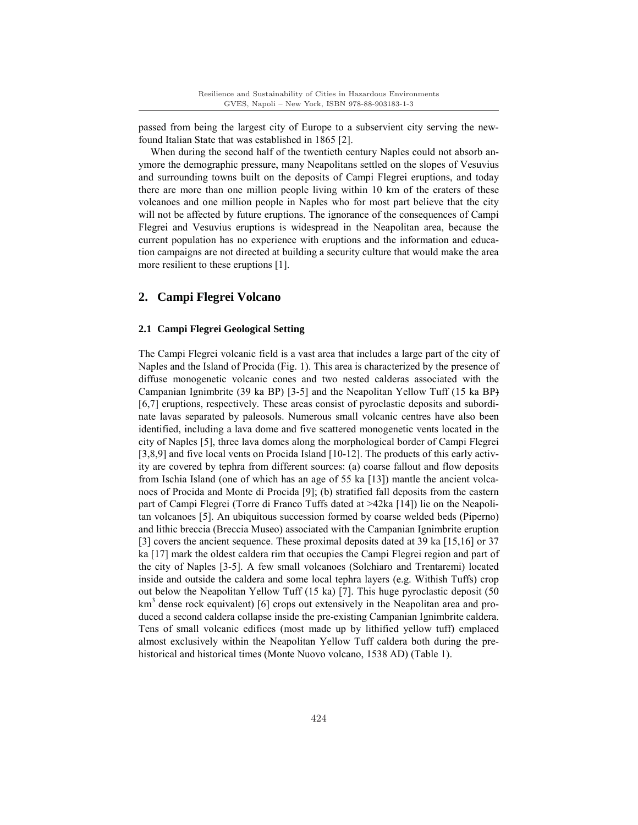passed from being the largest city of Europe to a subservient city serving the newfound Italian State that was established in 1865 [2].

When during the second half of the twentieth century Naples could not absorb anymore the demographic pressure, many Neapolitans settled on the slopes of Vesuvius and surrounding towns built on the deposits of Campi Flegrei eruptions, and today there are more than one million people living within 10 km of the craters of these volcanoes and one million people in Naples who for most part believe that the city will not be affected by future eruptions. The ignorance of the consequences of Campi Flegrei and Vesuvius eruptions is widespread in the Neapolitan area, because the current population has no experience with eruptions and the information and education campaigns are not directed at building a security culture that would make the area more resilient to these eruptions [1].

## **2. Campi Flegrei Volcano**

#### **2.1 Campi Flegrei Geological Setting**

The Campi Flegrei volcanic field is a vast area that includes a large part of the city of Naples and the Island of Procida (Fig. 1). This area is characterized by the presence of diffuse monogenetic volcanic cones and two nested calderas associated with the Campanian Ignimbrite (39 ka BP) [3-5] and the Neapolitan Yellow Tuff (15 ka BP) [6,7] eruptions, respectively. These areas consist of pyroclastic deposits and subordinate lavas separated by paleosols. Numerous small volcanic centres have also been identified, including a lava dome and five scattered monogenetic vents located in the city of Naples [5], three lava domes along the morphological border of Campi Flegrei [3,8,9] and five local vents on Procida Island [10-12]. The products of this early activity are covered by tephra from different sources: (a) coarse fallout and flow deposits from Ischia Island (one of which has an age of 55 ka [13]) mantle the ancient volcanoes of Procida and Monte di Procida [9]; (b) stratified fall deposits from the eastern part of Campi Flegrei (Torre di Franco Tuffs dated at >42ka [14]) lie on the Neapolitan volcanoes [5]. An ubiquitous succession formed by coarse welded beds (Piperno) and lithic breccia (Breccia Museo) associated with the Campanian Ignimbrite eruption [3] covers the ancient sequence. These proximal deposits dated at 39 ka [15,16] or 37 ka [17] mark the oldest caldera rim that occupies the Campi Flegrei region and part of the city of Naples [3-5]. A few small volcanoes (Solchiaro and Trentaremi) located inside and outside the caldera and some local tephra layers (e.g. Withish Tuffs) crop out below the Neapolitan Yellow Tuff (15 ka) [7]. This huge pyroclastic deposit (50 km<sup>3</sup> dense rock equivalent) [6] crops out extensively in the Neapolitan area and produced a second caldera collapse inside the pre-existing Campanian Ignimbrite caldera. Tens of small volcanic edifices (most made up by lithified yellow tuff) emplaced almost exclusively within the Neapolitan Yellow Tuff caldera both during the prehistorical and historical times (Monte Nuovo volcano, 1538 AD) (Table 1).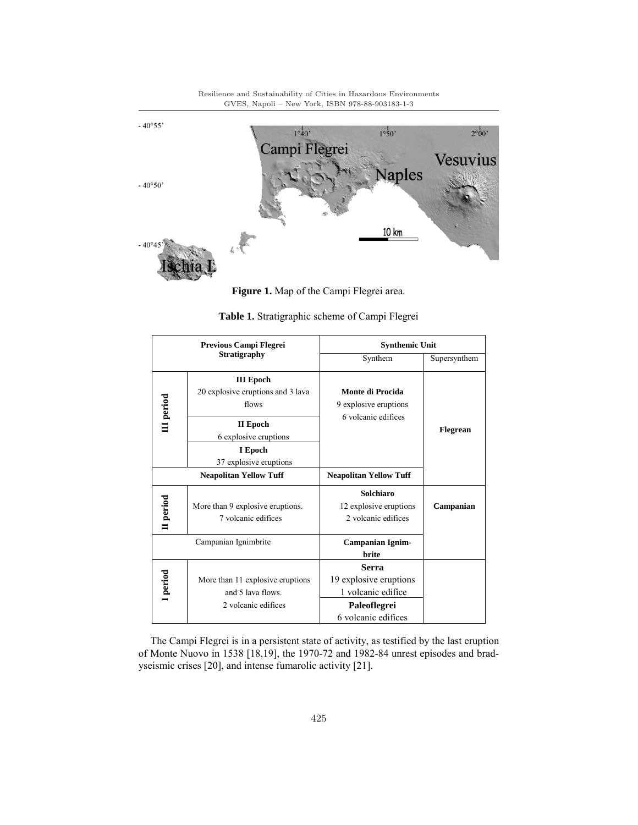

Resilience and Sustainability of Cities in Hazardous Environments

**Figure 1.** Map of the Campi Flegrei area.

| Previous Campi Flegrei<br>Stratigraphy |                                                                              | <b>Synthemic Unit</b>                                                                                      |              |
|----------------------------------------|------------------------------------------------------------------------------|------------------------------------------------------------------------------------------------------------|--------------|
|                                        |                                                                              | Synthem                                                                                                    | Supersynthem |
| III period                             | <b>III</b> Epoch<br>20 explosive eruptions and 3 lava<br>flows               | Monte di Procida<br>9 explosive eruptions<br>6 volcanic edifices                                           |              |
|                                        | II Epoch<br>6 explosive eruptions                                            |                                                                                                            | Flegrean     |
|                                        | I Epoch<br>37 explosive eruptions                                            |                                                                                                            |              |
|                                        | <b>Neapolitan Yellow Tuff</b>                                                | <b>Neapolitan Yellow Tuff</b>                                                                              |              |
| II period                              | More than 9 explosive eruptions.<br>7 volcanic edifices                      | Solchiaro<br>12 explosive eruptions<br>2 volcanic edifices                                                 | Campanian    |
|                                        | Campanian Ignimbrite                                                         | <b>Campanian Ignim-</b><br><b>brite</b>                                                                    |              |
| I period                               | More than 11 explosive eruptions<br>and 5 lava flows.<br>2 volcanic edifices | <b>Serra</b><br>19 explosive eruptions<br>1 volcanic edifice<br><b>Paleoflegrei</b><br>6 volcanic edifices |              |

**Table 1.** Stratigraphic scheme of Campi Flegrei

The Campi Flegrei is in a persistent state of activity, as testified by the last eruption of Monte Nuovo in 1538 [18,19], the 1970-72 and 1982-84 unrest episodes and bradyseismic crises [20], and intense fumarolic activity [21].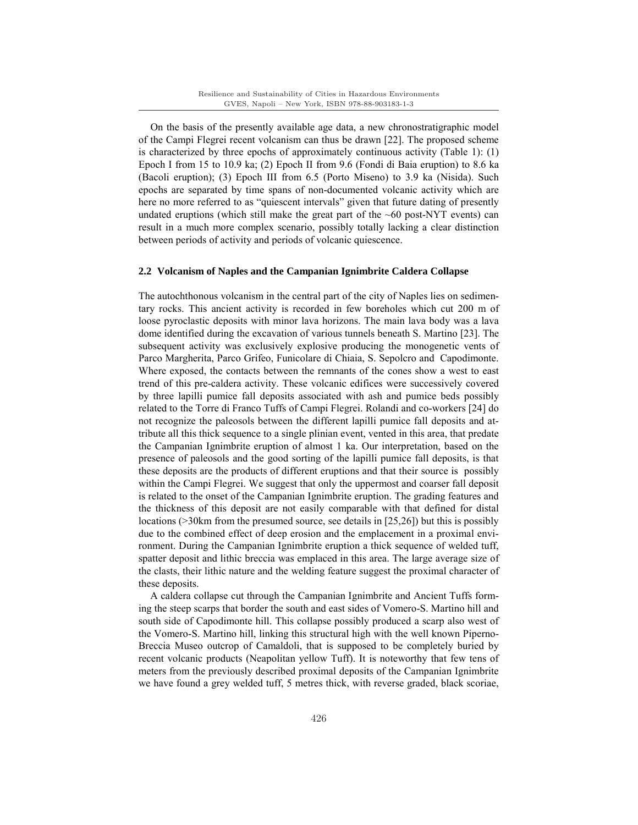On the basis of the presently available age data, a new chronostratigraphic model of the Campi Flegrei recent volcanism can thus be drawn [22]. The proposed scheme is characterized by three epochs of approximately continuous activity (Table 1): (1) Epoch I from 15 to 10.9 ka; (2) Epoch II from 9.6 (Fondi di Baia eruption) to 8.6 ka (Bacoli eruption); (3) Epoch III from 6.5 (Porto Miseno) to 3.9 ka (Nisida). Such epochs are separated by time spans of non-documented volcanic activity which are here no more referred to as "quiescent intervals" given that future dating of presently undated eruptions (which still make the great part of the  $\sim 60$  post-NYT events) can result in a much more complex scenario, possibly totally lacking a clear distinction between periods of activity and periods of volcanic quiescence.

#### **2.2 Volcanism of Naples and the Campanian Ignimbrite Caldera Collapse**

The autochthonous volcanism in the central part of the city of Naples lies on sedimentary rocks. This ancient activity is recorded in few boreholes which cut 200 m of loose pyroclastic deposits with minor lava horizons. The main lava body was a lava dome identified during the excavation of various tunnels beneath S. Martino [23]. The subsequent activity was exclusively explosive producing the monogenetic vents of Parco Margherita, Parco Grifeo, Funicolare di Chiaia, S. Sepolcro and Capodimonte. Where exposed, the contacts between the remnants of the cones show a west to east trend of this pre-caldera activity. These volcanic edifices were successively covered by three lapilli pumice fall deposits associated with ash and pumice beds possibly related to the Torre di Franco Tuffs of Campi Flegrei. Rolandi and co-workers [24] do not recognize the paleosols between the different lapilli pumice fall deposits and attribute all this thick sequence to a single plinian event, vented in this area, that predate the Campanian Ignimbrite eruption of almost 1 ka. Our interpretation, based on the presence of paleosols and the good sorting of the lapilli pumice fall deposits, is that these deposits are the products of different eruptions and that their source is possibly within the Campi Flegrei. We suggest that only the uppermost and coarser fall deposit is related to the onset of the Campanian Ignimbrite eruption. The grading features and the thickness of this deposit are not easily comparable with that defined for distal locations (>30km from the presumed source, see details in [25,26]) but this is possibly due to the combined effect of deep erosion and the emplacement in a proximal environment. During the Campanian Ignimbrite eruption a thick sequence of welded tuff, spatter deposit and lithic breccia was emplaced in this area. The large average size of the clasts, their lithic nature and the welding feature suggest the proximal character of these deposits.

A caldera collapse cut through the Campanian Ignimbrite and Ancient Tuffs forming the steep scarps that border the south and east sides of Vomero-S. Martino hill and south side of Capodimonte hill. This collapse possibly produced a scarp also west of the Vomero-S. Martino hill, linking this structural high with the well known Piperno-Breccia Museo outcrop of Camaldoli, that is supposed to be completely buried by recent volcanic products (Neapolitan yellow Tuff). It is noteworthy that few tens of meters from the previously described proximal deposits of the Campanian Ignimbrite we have found a grey welded tuff, 5 metres thick, with reverse graded, black scoriae,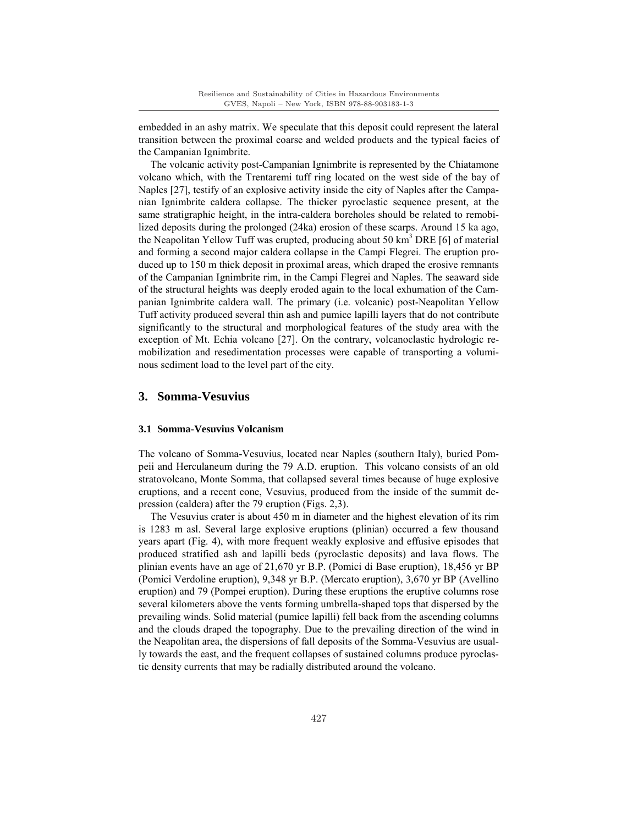embedded in an ashy matrix. We speculate that this deposit could represent the lateral transition between the proximal coarse and welded products and the typical facies of the Campanian Ignimbrite.

The volcanic activity post-Campanian Ignimbrite is represented by the Chiatamone volcano which, with the Trentaremi tuff ring located on the west side of the bay of Naples [27], testify of an explosive activity inside the city of Naples after the Campanian Ignimbrite caldera collapse. The thicker pyroclastic sequence present, at the same stratigraphic height, in the intra-caldera boreholes should be related to remobilized deposits during the prolonged (24ka) erosion of these scarps. Around 15 ka ago, the Neapolitan Yellow Tuff was erupted, producing about 50 km<sup>3</sup> DRE [6] of material and forming a second major caldera collapse in the Campi Flegrei. The eruption produced up to 150 m thick deposit in proximal areas, which draped the erosive remnants of the Campanian Ignimbrite rim, in the Campi Flegrei and Naples. The seaward side of the structural heights was deeply eroded again to the local exhumation of the Campanian Ignimbrite caldera wall. The primary (i.e. volcanic) post-Neapolitan Yellow Tuff activity produced several thin ash and pumice lapilli layers that do not contribute significantly to the structural and morphological features of the study area with the exception of Mt. Echia volcano [27]. On the contrary, volcanoclastic hydrologic remobilization and resedimentation processes were capable of transporting a voluminous sediment load to the level part of the city.

### **3. Somma-Vesuvius**

#### **3.1 Somma-Vesuvius Volcanism**

The volcano of Somma-Vesuvius, located near Naples (southern Italy), buried Pompeii and Herculaneum during the 79 A.D. eruption. This volcano consists of an old stratovolcano, Monte Somma, that collapsed several times because of huge explosive eruptions, and a recent cone, Vesuvius, produced from the inside of the summit depression (caldera) after the 79 eruption (Figs. 2,3).

The Vesuvius crater is about 450 m in diameter and the highest elevation of its rim is 1283 m asl. Several large explosive eruptions (plinian) occurred a few thousand years apart (Fig. 4), with more frequent weakly explosive and effusive episodes that produced stratified ash and lapilli beds (pyroclastic deposits) and lava flows. The plinian events have an age of 21,670 yr B.P. (Pomici di Base eruption), 18,456 yr BP (Pomici Verdoline eruption), 9,348 yr B.P. (Mercato eruption), 3,670 yr BP (Avellino eruption) and 79 (Pompei eruption). During these eruptions the eruptive columns rose several kilometers above the vents forming umbrella-shaped tops that dispersed by the prevailing winds. Solid material (pumice lapilli) fell back from the ascending columns and the clouds draped the topography. Due to the prevailing direction of the wind in the Neapolitan area, the dispersions of fall deposits of the Somma-Vesuvius are usually towards the east, and the frequent collapses of sustained columns produce pyroclastic density currents that may be radially distributed around the volcano.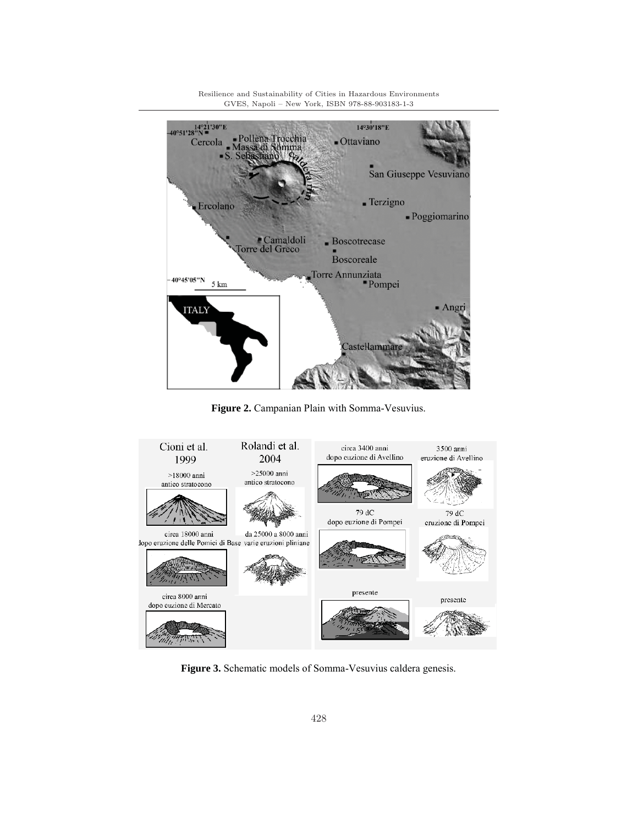$-40^{\circ}51'28''N$  = 14°30'18"E Pollena Trocchia Cercola  $-*O*ttaviano$ Somma San Giuseppe Vesuviano  $\blacksquare$  Terzigno Ercolano - Poggiomarino Camaldoli<br>Torre del Greco  $\blacksquare$  Boscotrecase **Boscoreale** Torre Annunziata<br>Pompei  $-40^{\circ}45^{\prime}05^{\prime\prime}N$ 5 km Angri **ITALY** Castellammar

**Figure 2.** Campanian Plain with Somma-Vesuvius.



**Figure 3.** Schematic models of Somma-Vesuvius caldera genesis.

Resilience and Sustainability of Cities in Hazardous Environments GVES, Napoli – New York, ISBN 978-88-903183-1-3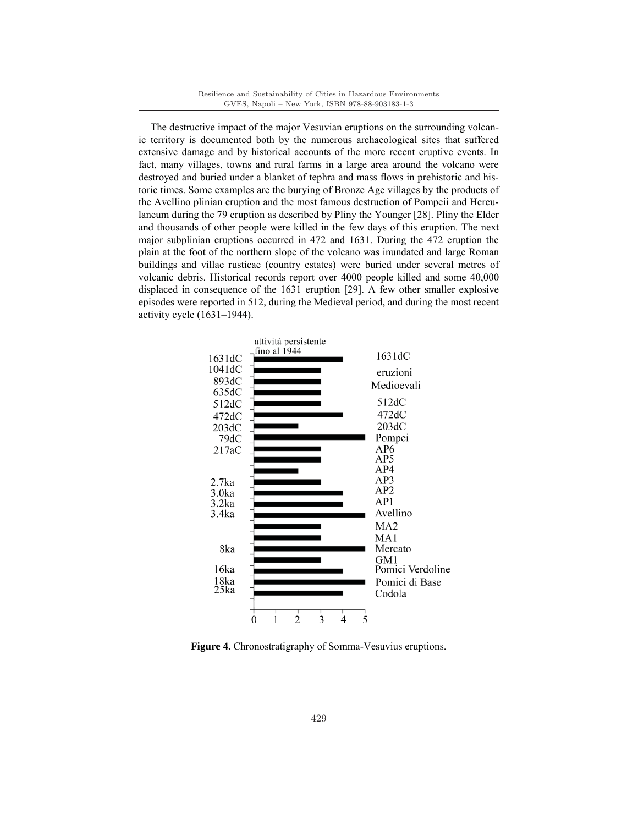The destructive impact of the major Vesuvian eruptions on the surrounding volcanic territory is documented both by the numerous archaeological sites that suffered extensive damage and by historical accounts of the more recent eruptive events. In fact, many villages, towns and rural farms in a large area around the volcano were destroyed and buried under a blanket of tephra and mass flows in prehistoric and historic times. Some examples are the burying of Bronze Age villages by the products of the Avellino plinian eruption and the most famous destruction of Pompeii and Herculaneum during the 79 eruption as described by Pliny the Younger [28]. Pliny the Elder and thousands of other people were killed in the few days of this eruption. The next major subplinian eruptions occurred in 472 and 1631. During the 472 eruption the plain at the foot of the northern slope of the volcano was inundated and large Roman buildings and villae rusticae (country estates) were buried under several metres of volcanic debris. Historical records report over 4000 people killed and some 40,000 displaced in consequence of the 1631 eruption [29]. A few other smaller explosive episodes were reported in 512, during the Medieval period, and during the most recent activity cycle (1631–1944).



**Figure 4.** Chronostratigraphy of Somma-Vesuvius eruptions.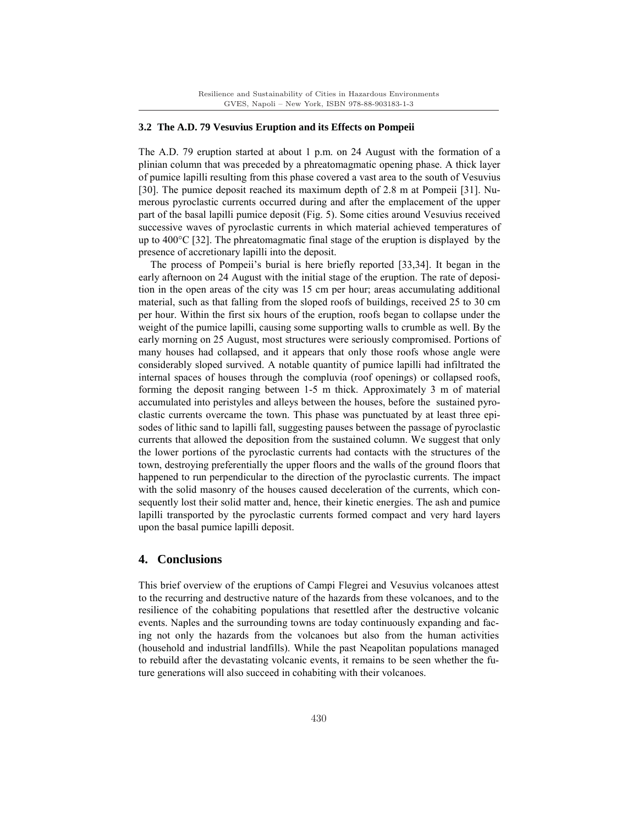#### **3.2 The A.D. 79 Vesuvius Eruption and its Effects on Pompeii**

The A.D. 79 eruption started at about 1 p.m. on 24 August with the formation of a plinian column that was preceded by a phreatomagmatic opening phase. A thick layer of pumice lapilli resulting from this phase covered a vast area to the south of Vesuvius [30]. The pumice deposit reached its maximum depth of 2.8 m at Pompeii [31]. Numerous pyroclastic currents occurred during and after the emplacement of the upper part of the basal lapilli pumice deposit (Fig. 5). Some cities around Vesuvius received successive waves of pyroclastic currents in which material achieved temperatures of up to 400°C [32]. The phreatomagmatic final stage of the eruption is displayed by the presence of accretionary lapilli into the deposit.

The process of Pompeii's burial is here briefly reported [33,34]. It began in the early afternoon on 24 August with the initial stage of the eruption. The rate of deposition in the open areas of the city was 15 cm per hour; areas accumulating additional material, such as that falling from the sloped roofs of buildings, received 25 to 30 cm per hour. Within the first six hours of the eruption, roofs began to collapse under the weight of the pumice lapilli, causing some supporting walls to crumble as well. By the early morning on 25 August, most structures were seriously compromised. Portions of many houses had collapsed, and it appears that only those roofs whose angle were considerably sloped survived. A notable quantity of pumice lapilli had infiltrated the internal spaces of houses through the compluvia (roof openings) or collapsed roofs, forming the deposit ranging between 1-5 m thick. Approximately 3 m of material accumulated into peristyles and alleys between the houses, before the sustained pyroclastic currents overcame the town. This phase was punctuated by at least three episodes of lithic sand to lapilli fall, suggesting pauses between the passage of pyroclastic currents that allowed the deposition from the sustained column. We suggest that only the lower portions of the pyroclastic currents had contacts with the structures of the town, destroying preferentially the upper floors and the walls of the ground floors that happened to run perpendicular to the direction of the pyroclastic currents. The impact with the solid masonry of the houses caused deceleration of the currents, which consequently lost their solid matter and, hence, their kinetic energies. The ash and pumice lapilli transported by the pyroclastic currents formed compact and very hard layers upon the basal pumice lapilli deposit.

## **4. Conclusions**

This brief overview of the eruptions of Campi Flegrei and Vesuvius volcanoes attest to the recurring and destructive nature of the hazards from these volcanoes, and to the resilience of the cohabiting populations that resettled after the destructive volcanic events. Naples and the surrounding towns are today continuously expanding and facing not only the hazards from the volcanoes but also from the human activities (household and industrial landfills). While the past Neapolitan populations managed to rebuild after the devastating volcanic events, it remains to be seen whether the future generations will also succeed in cohabiting with their volcanoes.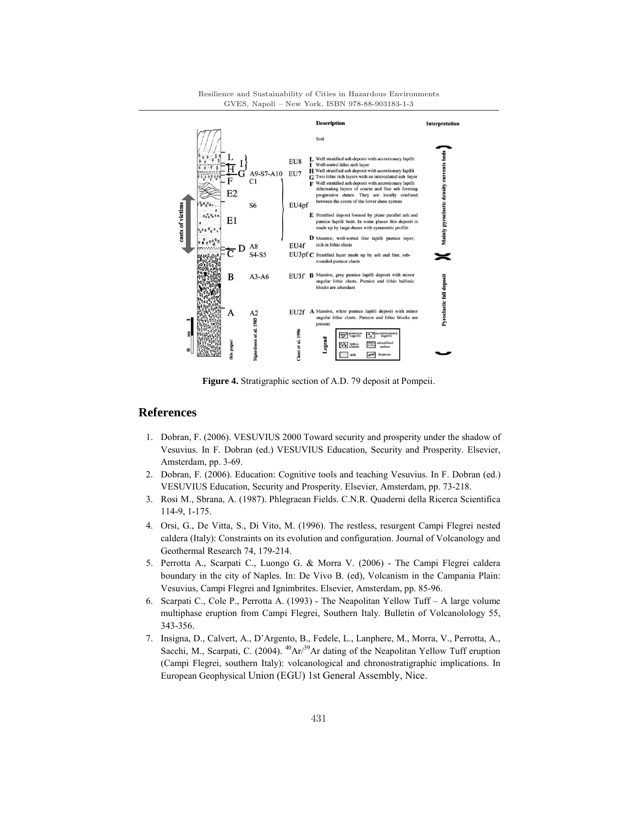

**Figure 4.** Stratigraphic section of A.D. 79 deposit at Pompeii.

## **References**

- 1. Dobran, F. (2006). VESUVIUS 2000 Toward security and prosperity under the shadow of Vesuvius. In F. Dobran (ed.) VESUVIUS Education, Security and Prosperity. Elsevier, Amsterdam, pp. 3-69.
- 2. Dobran, F. (2006). Education: Cognitive tools and teaching Vesuvius. In F. Dobran (ed.) VESUVIUS Education, Security and Prosperity. Elsevier, Amsterdam, pp. 73-218.
- 3. Rosi M., Sbrana, A. (1987). Phlegraean Fields. C.N.R. Quaderni della Ricerca Scientifica 114-9, 1-175.
- 4. Orsi, G., De Vitta, S., Di Vito, M. (1996). The restless, resurgent Campi Flegrei nested caldera (Italy): Constraints on its evolution and configuration. Journal of Volcanology and Geothermal Research 74, 179-214.
- 5. Perrotta A., Scarpati C., Luongo G. & Morra V. (2006) The Campi Flegrei caldera boundary in the city of Naples. In: De Vivo B. (ed), Volcanism in the Campania Plain: Vesuvius, Campi Flegrei and Ignimbrites. Elsevier, Amsterdam, pp. 85-96.
- 6. Scarpati C., Cole P., Perrotta A. (1993) The Neapolitan Yellow Tuff A large volume multiphase eruption from Campi Flegrei, Southern Italy. Bulletin of Volcanolology 55, 343-356.
- 7. Insigna, D., Calvert, A., D'Argento, B., Fedele, L., Lanphere, M., Morra, V., Perrotta, A., Sacchi, M., Scarpati, C. (2004).  $^{40}Ar^{39}Ar$  dating of the Neapolitan Yellow Tuff eruption (Campi Flegrei, southern Italy): volcanological and chronostratigraphic implications. In European Geophysical Union (EGU) 1st General Assembly, Nice.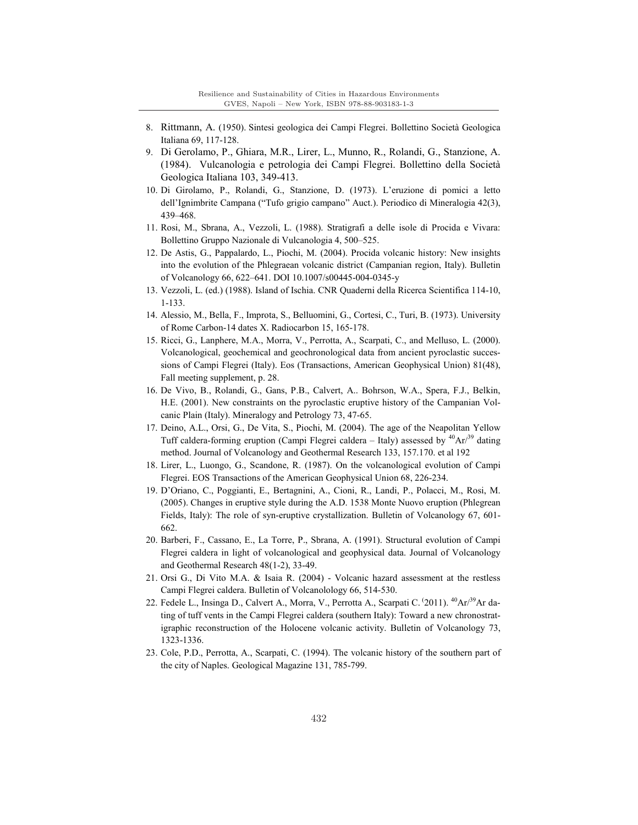- 8. Rittmann, A. (1950). Sintesi geologica dei Campi Flegrei. Bollettino Società Geologica Italiana 69, 117-128.
- 9. Di Gerolamo, P., Ghiara, M.R., Lirer, L., Munno, R., Rolandi, G., Stanzione, A. (1984). Vulcanologia e petrologia dei Campi Flegrei. Bollettino della Società Geologica Italiana 103, 349-413.
- 10. Di Girolamo, P., Rolandi, G., Stanzione, D. (1973). L'eruzione di pomici a letto dell'Ignimbrite Campana ("Tufo grigio campano" Auct.). Periodico di Mineralogia 42(3), 439–468.
- 11. Rosi, M., Sbrana, A., Vezzoli, L. (1988). Stratigrafi a delle isole di Procida e Vivara: Bollettino Gruppo Nazionale di Vulcanologia 4, 500–525.
- 12. De Astis, G., Pappalardo, L., Piochi, M. (2004). Procida volcanic history: New insights into the evolution of the Phlegraean volcanic district (Campanian region, Italy). Bulletin of Volcanology 66, 622–641. DOI 10.1007/s00445-004-0345-y
- 13. Vezzoli, L. (ed.) (1988). Island of Ischia. CNR Quaderni della Ricerca Scientifica 114-10, 1-133.
- 14. Alessio, M., Bella, F., Improta, S., Belluomini, G., Cortesi, C., Turi, B. (1973). University of Rome Carbon-14 dates X. Radiocarbon 15, 165-178.
- 15. Ricci, G., Lanphere, M.A., Morra, V., Perrotta, A., Scarpati, C., and Melluso, L. (2000). Volcanological, geochemical and geochronological data from ancient pyroclastic successions of Campi Flegrei (Italy). Eos (Transactions, American Geophysical Union) 81(48), Fall meeting supplement, p. 28.
- 16. De Vivo, B., Rolandi, G., Gans, P.B., Calvert, A.. Bohrson, W.A., Spera, F.J., Belkin, H.E. (2001). New constraints on the pyroclastic eruptive history of the Campanian Volcanic Plain (Italy). Mineralogy and Petrology 73, 47-65.
- 17. Deino, A.L., Orsi, G., De Vita, S., Piochi, M. (2004). The age of the Neapolitan Yellow Tuff caldera-forming eruption (Campi Flegrei caldera – Italy) assessed by  ${}^{40}Ar^{39}$  dating method. Journal of Volcanology and Geothermal Research 133, 157.170. et al 192
- 18. Lirer, L., Luongo, G., Scandone, R. (1987). On the volcanological evolution of Campi Flegrei. EOS Transactions of the American Geophysical Union 68, 226-234.
- 19. D'Oriano, C., Poggianti, E., Bertagnini, A., Cioni, R., Landi, P., Polacci, M., Rosi, M. (2005). Changes in eruptive style during the A.D. 1538 Monte Nuovo eruption (Phlegrean Fields, Italy): The role of syn-eruptive crystallization. Bulletin of Volcanology 67, 601- 662.
- 20. Barberi, F., Cassano, E., La Torre, P., Sbrana, A. (1991). Structural evolution of Campi Flegrei caldera in light of volcanological and geophysical data. Journal of Volcanology and Geothermal Research 48(1-2), 33-49.
- 21. Orsi G., Di Vito M.A. & Isaia R. (2004) Volcanic hazard assessment at the restless Campi Flegrei caldera. Bulletin of Volcanolology 66, 514-530.
- 22. Fedele L., Insinga D., Calvert A., Morra, V., Perrotta A., Scarpati C. <sup>(2011). 40</sup>Ar/<sup>39</sup>Ar dating of tuff vents in the Campi Flegrei caldera (southern Italy): Toward a new chronostratigraphic reconstruction of the Holocene volcanic activity. Bulletin of Volcanology 73, 1323-1336.
- 23. Cole, P.D., Perrotta, A., Scarpati, C. (1994). The volcanic history of the southern part of the city of Naples. Geological Magazine 131, 785-799.